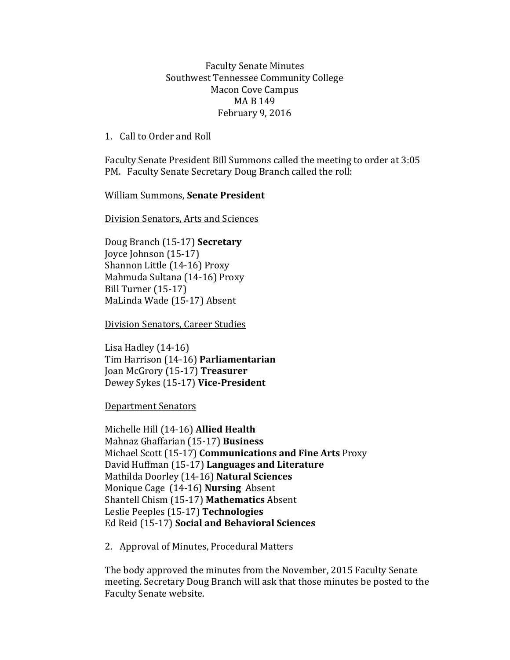Faculty Senate Minutes Southwest Tennessee Community College Macon Cove Campus MA B 149 February 9, 2016

1. Call to Order and Roll

Faculty Senate President Bill Summons called the meeting to order at 3:05 PM. Faculty Senate Secretary Doug Branch called the roll:

William Summons, **Senate President**

Division Senators, Arts and Sciences

Doug Branch (15-17) **Secretary** Joyce Johnson (15-17) Shannon Little (14-16) Proxy Mahmuda Sultana (14-16) Proxy Bill Turner (15-17) MaLinda Wade (15-17) Absent

Division Senators, Career Studies

Lisa Hadley (14-16) Tim Harrison (14-16) **Parliamentarian** Joan McGrory (15-17) **Treasurer** Dewey Sykes (15-17) **Vice-President**

Department Senators

Michelle Hill (14-16) **Allied Health** Mahnaz Ghaffarian (15-17) **Business** Michael Scott (15-17) **Communications and Fine Arts** Proxy David Huffman (15-17) **Languages and Literature** Mathilda Doorley (14-16) **Natural Sciences** Monique Cage (14-16) **Nursing** Absent Shantell Chism (15-17) **Mathematics** Absent Leslie Peeples (15-17) **Technologies**  Ed Reid (15-17) **Social and Behavioral Sciences**

2. Approval of Minutes, Procedural Matters

The body approved the minutes from the November, 2015 Faculty Senate meeting. Secretary Doug Branch will ask that those minutes be posted to the Faculty Senate website.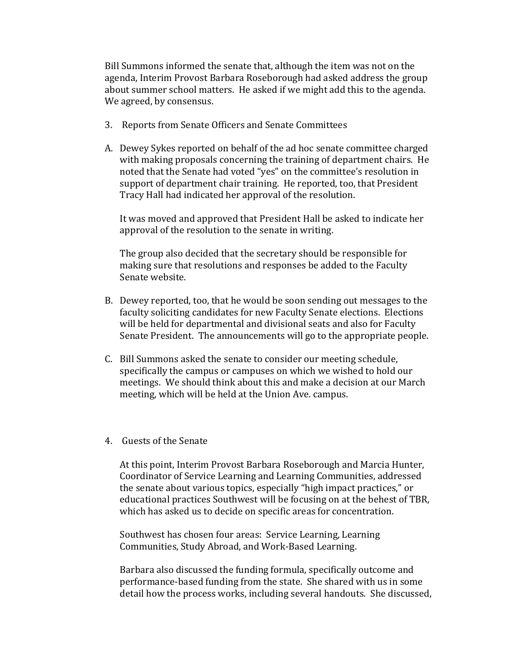Bill Summons informed the senate that, although the item was not on the agenda, Interim Provost Barbara Roseborough had asked address the group about summer school matters. He asked if we might add this to the agenda. We agreed, by consensus.

- 3. Reports from Senate Officers and Senate Committees
- A. Dewey Sykes reported on behalf of the ad hoc senate committee charged with making proposals concerning the training of department chairs. He noted that the Senate had voted "yes" on the committee's resolution in support of department chair training. He reported, too, that President Tracy Hall had indicated her approval of the resolution.

It was moved and approved that President Hall be asked to indicate her approval of the resolution to the senate in writing.

The group also decided that the secretary should be responsible for making sure that resolutions and responses be added to the Faculty Senate website.

- B. Dewey reported, too, that he would be soon sending out messages to the faculty soliciting candidates for new Faculty Senate elections. Elections will be held for departmental and divisional seats and also for Faculty Senate President. The announcements will go to the appropriate people.
- C. Bill Summons asked the senate to consider our meeting schedule, specifically the campus or campuses on which we wished to hold our meetings. We should think about this and make a decision at our March meeting, which will be held at the Union Ave. campus.
- 4. Guests of the Senate

At this point, Interim Provost Barbara Roseborough and Marcia Hunter, Coordinator of Service Learning and Learning Communities, addressed the senate about various topics, especially "high impact practices," or educational practices Southwest will be focusing on at the behest of TBR, which has asked us to decide on specific areas for concentration.

Southwest has chosen four areas: Service Learning, Learning Communities, Study Abroad, and Work-Based Learning.

Barbara also discussed the funding formula, specifically outcome and performance-based funding from the state. She shared with us in some detail how the process works, including several handouts. She discussed,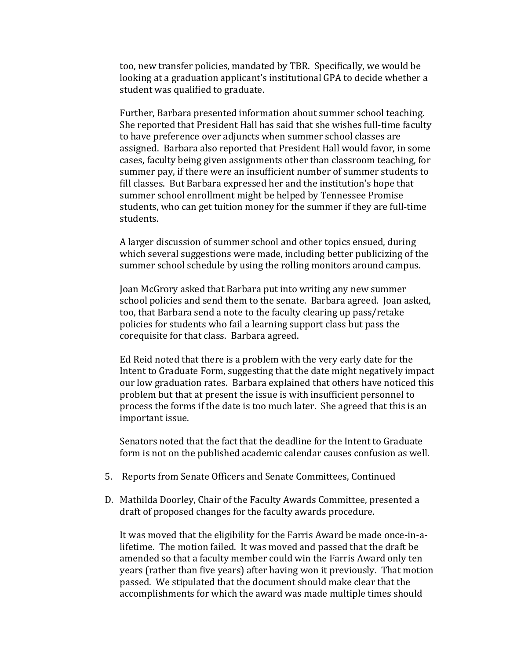too, new transfer policies, mandated by TBR. Specifically, we would be looking at a graduation applicant's institutional GPA to decide whether a student was qualified to graduate.

Further, Barbara presented information about summer school teaching. She reported that President Hall has said that she wishes full-time faculty to have preference over adjuncts when summer school classes are assigned. Barbara also reported that President Hall would favor, in some cases, faculty being given assignments other than classroom teaching, for summer pay, if there were an insufficient number of summer students to fill classes. But Barbara expressed her and the institution's hope that summer school enrollment might be helped by Tennessee Promise students, who can get tuition money for the summer if they are full-time students.

A larger discussion of summer school and other topics ensued, during which several suggestions were made, including better publicizing of the summer school schedule by using the rolling monitors around campus.

Joan McGrory asked that Barbara put into writing any new summer school policies and send them to the senate. Barbara agreed. Joan asked, too, that Barbara send a note to the faculty clearing up pass/retake policies for students who fail a learning support class but pass the corequisite for that class. Barbara agreed.

Ed Reid noted that there is a problem with the very early date for the Intent to Graduate Form, suggesting that the date might negatively impact our low graduation rates. Barbara explained that others have noticed this problem but that at present the issue is with insufficient personnel to process the forms if the date is too much later. She agreed that this is an important issue.

Senators noted that the fact that the deadline for the Intent to Graduate form is not on the published academic calendar causes confusion as well.

- 5. Reports from Senate Officers and Senate Committees, Continued
- D. Mathilda Doorley, Chair of the Faculty Awards Committee, presented a draft of proposed changes for the faculty awards procedure.

It was moved that the eligibility for the Farris Award be made once-in-alifetime. The motion failed. It was moved and passed that the draft be amended so that a faculty member could win the Farris Award only ten years (rather than five years) after having won it previously. That motion passed. We stipulated that the document should make clear that the accomplishments for which the award was made multiple times should